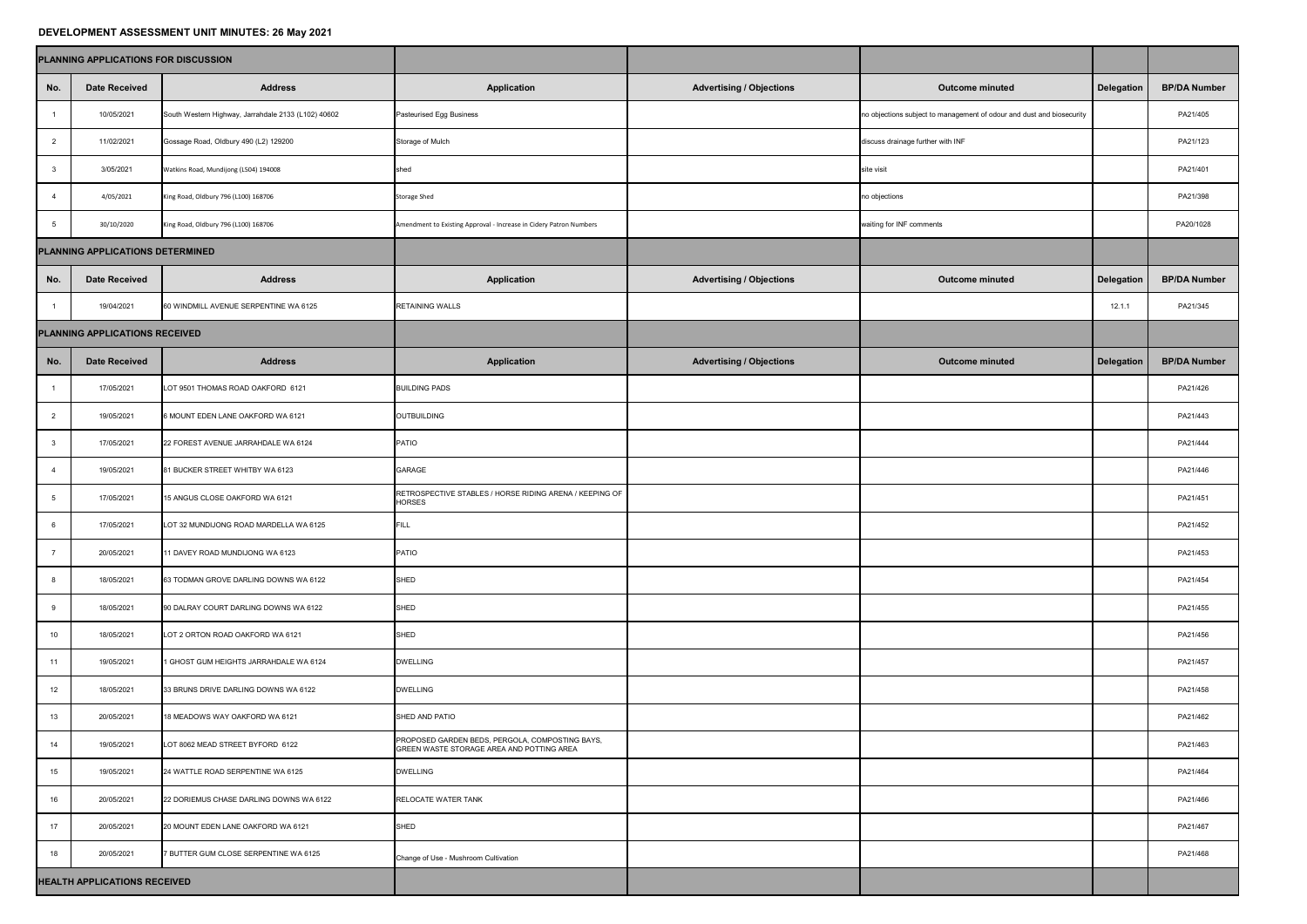## **DEVELOPMENT ASSESSMENT UNIT MINUTES: 26 May 2021**

|                                  | PLANNING APPLICATIONS FOR DISCUSSION |                                                     |                                                                                              |                                 |                                                                       |                   |                     |
|----------------------------------|--------------------------------------|-----------------------------------------------------|----------------------------------------------------------------------------------------------|---------------------------------|-----------------------------------------------------------------------|-------------------|---------------------|
| No.                              | <b>Date Received</b>                 | <b>Address</b>                                      | <b>Application</b>                                                                           | <b>Advertising / Objections</b> | <b>Outcome minuted</b>                                                | <b>Delegation</b> | <b>BP/DA Number</b> |
|                                  | 10/05/2021                           | South Western Highway, Jarrahdale 2133 (L102) 40602 | <b>Pasteurised Egg Business</b>                                                              |                                 | no objections subject to management of odour and dust and biosecurity |                   | PA21/405            |
| $\overline{2}$                   | 11/02/2021                           | Gossage Road, Oldbury 490 (L2) 129200               | Storage of Mulch                                                                             |                                 | discuss drainage further with INF                                     |                   | PA21/123            |
| 3                                | 3/05/2021                            | Watkins Road, Mundijong (L504) 194008               | shed                                                                                         |                                 | site visit                                                            |                   | PA21/401            |
|                                  | 4/05/2021                            | King Road, Oldbury 796 (L100) 168706                | <b>Storage Shed</b>                                                                          |                                 | no objections                                                         |                   | PA21/398            |
| . ჯე                             | 30/10/2020                           | King Road, Oldbury 796 (L100) 168706                | Amendment to Existing Approval - Increase in Cidery Patron Numbers                           |                                 | waiting for INF comments                                              |                   | PA20/1028           |
| PLANNING APPLICATIONS DETERMINED |                                      |                                                     |                                                                                              |                                 |                                                                       |                   |                     |
| No.                              | <b>Date Received</b>                 | <b>Address</b>                                      | <b>Application</b>                                                                           | <b>Advertising / Objections</b> | <b>Outcome minuted</b>                                                | <b>Delegation</b> | <b>BP/DA Number</b> |
|                                  | 19/04/2021                           | 60 WINDMILL AVENUE SERPENTINE WA 6125               | <b>RETAINING WALLS</b>                                                                       |                                 |                                                                       | 12.1.1            | PA21/345            |
|                                  | PLANNING APPLICATIONS RECEIVED       |                                                     |                                                                                              |                                 |                                                                       |                   |                     |
| No.                              | <b>Date Received</b>                 | <b>Address</b>                                      | <b>Application</b>                                                                           | <b>Advertising / Objections</b> | <b>Outcome minuted</b>                                                | Delegation        | <b>BP/DA Number</b> |
|                                  | 17/05/2021                           | LOT 9501 THOMAS ROAD OAKFORD 6121                   | <b>BUILDING PADS</b>                                                                         |                                 |                                                                       |                   | PA21/426            |
|                                  | 19/05/2021                           | 6 MOUNT EDEN LANE OAKFORD WA 6121                   | OUTBUILDING                                                                                  |                                 |                                                                       |                   | PA21/443            |
|                                  | 17/05/2021                           | 22 FOREST AVENUE JARRAHDALE WA 6124                 | <b>PATIO</b>                                                                                 |                                 |                                                                       |                   | PA21/444            |
|                                  | 19/05/2021                           | 81 BUCKER STREET WHITBY WA 6123                     | <b>GARAGE</b>                                                                                |                                 |                                                                       |                   | PA21/446            |
|                                  | 17/05/2021                           | 15 ANGUS CLOSE OAKFORD WA 6121                      | RETROSPECTIVE STABLES / HORSE RIDING ARENA / KEEPING OF<br><b>HORSES</b>                     |                                 |                                                                       |                   | PA21/451            |
|                                  | 17/05/2021                           | LOT 32 MUNDIJONG ROAD MARDELLA WA 6125              | FILL                                                                                         |                                 |                                                                       |                   | PA21/452            |
|                                  | 20/05/2021                           | 11 DAVEY ROAD MUNDIJONG WA 6123                     | <b>PATIO</b>                                                                                 |                                 |                                                                       |                   | PA21/453            |
|                                  | 18/05/2021                           | 63 TODMAN GROVE DARLING DOWNS WA 6122               | SHED                                                                                         |                                 |                                                                       |                   | PA21/454            |
|                                  | 18/05/2021                           | 90 DALRAY COURT DARLING DOWNS WA 6122               | <b>SHED</b>                                                                                  |                                 |                                                                       |                   | PA21/455            |
| 10 <sup>1</sup>                  | 18/05/2021                           | LOT 2 ORTON ROAD OAKFORD WA 6121                    | SHED                                                                                         |                                 |                                                                       |                   | PA21/456            |
| 11                               | 19/05/2021                           | 1 GHOST GUM HEIGHTS JARRAHDALE WA 6124              | <b>DWELLING</b>                                                                              |                                 |                                                                       |                   | PA21/457            |
| 12                               | 18/05/2021                           | 33 BRUNS DRIVE DARLING DOWNS WA 6122                | <b>DWELLING</b>                                                                              |                                 |                                                                       |                   | PA21/458            |
| 13                               | 20/05/2021                           | 18 MEADOWS WAY OAKFORD WA 6121                      | <b>SHED AND PATIO</b>                                                                        |                                 |                                                                       |                   | PA21/462            |
| 14                               | 19/05/2021                           | LOT 8062 MEAD STREET BYFORD 6122                    | PROPOSED GARDEN BEDS, PERGOLA, COMPOSTING BAYS,<br>GREEN WASTE STORAGE AREA AND POTTING AREA |                                 |                                                                       |                   | PA21/463            |
| 15                               | 19/05/2021                           | 24 WATTLE ROAD SERPENTINE WA 6125                   | <b>DWELLING</b>                                                                              |                                 |                                                                       |                   | PA21/464            |
| 16                               | 20/05/2021                           | 22 DORIEMUS CHASE DARLING DOWNS WA 6122             | <b>RELOCATE WATER TANK</b>                                                                   |                                 |                                                                       |                   | PA21/466            |
| 17                               | 20/05/2021                           | 20 MOUNT EDEN LANE OAKFORD WA 6121                  | SHED                                                                                         |                                 |                                                                       |                   | PA21/467            |
| 18                               | 20/05/2021                           | 7 BUTTER GUM CLOSE SERPENTINE WA 6125               | Change of Use - Mushroom Cultivation                                                         |                                 |                                                                       |                   | PA21/468            |
|                                  | <b>HEALTH APPLICATIONS RECEIVED</b>  |                                                     |                                                                                              |                                 |                                                                       |                   |                     |